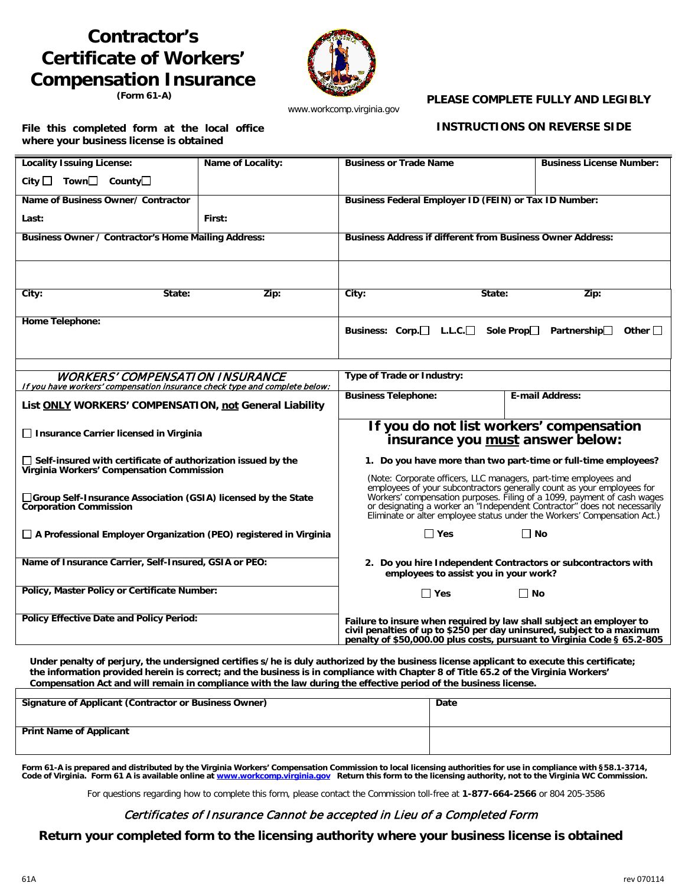# **Contractor's Certificate of Workers' Compensation Insurance**

**(Form 61-A)**



www.workcomp.virginia.gov

#### **PLEASE COMPLETE FULLY AND LEGIBLY**

**File this completed form at the local office where your business license is obtained** 

 **INSTRUCTIONS ON REVERSE SIDE**

| <b>Locality Issuing License:</b>                                                                                 | Name of Locality: | <b>Business or Trade Name</b>                                                                                                                                                                                            | <b>Business License Number:</b>                                                                                                                                                                                                                                                                           |
|------------------------------------------------------------------------------------------------------------------|-------------------|--------------------------------------------------------------------------------------------------------------------------------------------------------------------------------------------------------------------------|-----------------------------------------------------------------------------------------------------------------------------------------------------------------------------------------------------------------------------------------------------------------------------------------------------------|
| City $\Box$ Town $\Box$ County $\Box$                                                                            |                   |                                                                                                                                                                                                                          |                                                                                                                                                                                                                                                                                                           |
| Name of Business Owner/ Contractor                                                                               |                   | Business Federal Employer ID (FEIN) or Tax ID Number:                                                                                                                                                                    |                                                                                                                                                                                                                                                                                                           |
| Last:                                                                                                            | First:            |                                                                                                                                                                                                                          |                                                                                                                                                                                                                                                                                                           |
| Business Owner / Contractor's Home Mailing Address:                                                              |                   | <b>Business Address if different from Business Owner Address:</b>                                                                                                                                                        |                                                                                                                                                                                                                                                                                                           |
|                                                                                                                  |                   |                                                                                                                                                                                                                          |                                                                                                                                                                                                                                                                                                           |
| City:<br>State:                                                                                                  | Zip:              | City:<br>State:                                                                                                                                                                                                          | Zip:                                                                                                                                                                                                                                                                                                      |
| Home Telephone:                                                                                                  |                   | Business: Corp. <sup>1</sup> L.L.C. <sup>1</sup><br>Sole Prop $\Box$<br>Partnership $\Box$<br>Other $\Box$                                                                                                               |                                                                                                                                                                                                                                                                                                           |
| <b>WORKERS' COMPENSATION INSURANCE</b>                                                                           |                   | Type of Trade or Industry:                                                                                                                                                                                               |                                                                                                                                                                                                                                                                                                           |
| If you have workers' compensation insurance check type and complete below:                                       |                   |                                                                                                                                                                                                                          |                                                                                                                                                                                                                                                                                                           |
| List ONLY WORKERS' COMPENSATION, not General Liability                                                           |                   | <b>Business Telephone:</b>                                                                                                                                                                                               | E-mail Address:                                                                                                                                                                                                                                                                                           |
| □ Insurance Carrier licensed in Virginia                                                                         |                   | If you do not list workers' compensation<br>insurance you must answer below:                                                                                                                                             |                                                                                                                                                                                                                                                                                                           |
| $\Box$ Self-insured with certificate of authorization issued by the<br>Virginia Workers' Compensation Commission |                   | 1. Do you have more than two part-time or full-time employees?<br>(Note: Corporate officers, LLC managers, part-time employees and                                                                                       |                                                                                                                                                                                                                                                                                                           |
| □Group Self-Insurance Association (GSIA) licensed by the State<br><b>Corporation Commission</b>                  |                   |                                                                                                                                                                                                                          | employees of your subcontractors generally count as your employees for<br>Workers' compensation purposes. Filing of a 1099, payment of cash wages<br>or designating a worker an "Independent Contractor" does not necessarily<br>Eliminate or alter employee status under the Workers' Compensation Act.) |
| $\Box$ A Professional Employer Organization (PEO) registered in Virginia                                         |                   | $\Box$ Yes                                                                                                                                                                                                               | ∏ No                                                                                                                                                                                                                                                                                                      |
| Name of Insurance Carrier, Self-Insured, GSIA or PEO:                                                            |                   | 2. Do you hire Independent Contractors or subcontractors with<br>employees to assist you in your work?                                                                                                                   |                                                                                                                                                                                                                                                                                                           |
| Policy, Master Policy or Certificate Number:                                                                     |                   | $\square$ Yes                                                                                                                                                                                                            | $\Box$ No                                                                                                                                                                                                                                                                                                 |
| <b>Policy Effective Date and Policy Period:</b>                                                                  |                   | Failure to insure when required by law shall subject an employer to<br>civil penalties of up to \$250 per day uninsured, subject to a maximum<br>penalty of \$50,000.00 plus costs, pursuant to Virginia Code § 65.2-805 |                                                                                                                                                                                                                                                                                                           |

**Under penalty of perjury, the undersigned certifies s/he is duly authorized by the business license applicant to execute this certificate; the information provided herein is correct; and the business is in compliance with Chapter 8 of Title 65.2 of the Virginia Workers' Compensation Act and will remain in compliance with the law during the effective period of the business license.**

| Signature of Applicant (Contractor or Business Owner) | Date |
|-------------------------------------------------------|------|
| <b>Print Name of Applicant</b>                        |      |

Form 61-A is prepared and distributed by the Virginia Workers' Compensation Commission to local licensing authorities for use in compliance with §58.1-3714,<br>Code of Virginia. Form 61 A is available online at <u>www.workcomp.</u>

For questions regarding how to complete this form, please contact the Commission toll-free at **1-877-664-2566** or 804 205-3586

# Certificates of Insurance Cannot be accepted in Lieu of a Completed Form

**Return your completed form to the licensing authority where your business license is obtained**